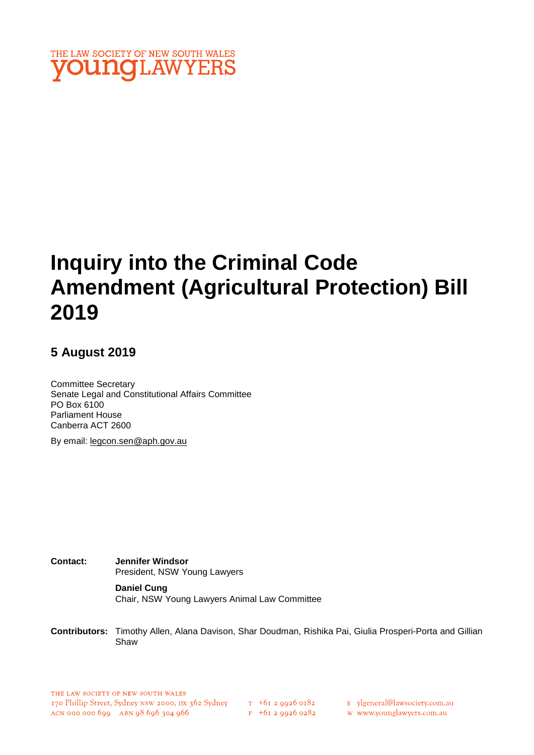

# **Inquiry into the Criminal Code Amendment (Agricultural Protection) Bill 2019**

## **5 August 2019**

Committee Secretary Senate Legal and Constitutional Affairs Committee PO Box 6100 Parliament House Canberra ACT 2600

By email: legcon.sen@aph.gov.au

**Contact: Jennifer Windsor**  President, NSW Young Lawyers

> **Daniel Cung** Chair, NSW Young Lawyers Animal Law Committee

**Contributors:** Timothy Allen, Alana Davison, Shar Doudman, Rishika Pai, Giulia Prosperi-Porta and Gillian Shaw

 $F + 6I$  2 9926 0282

E ylgeneral@lawsociety.com.au

w www.younglawyers.com.au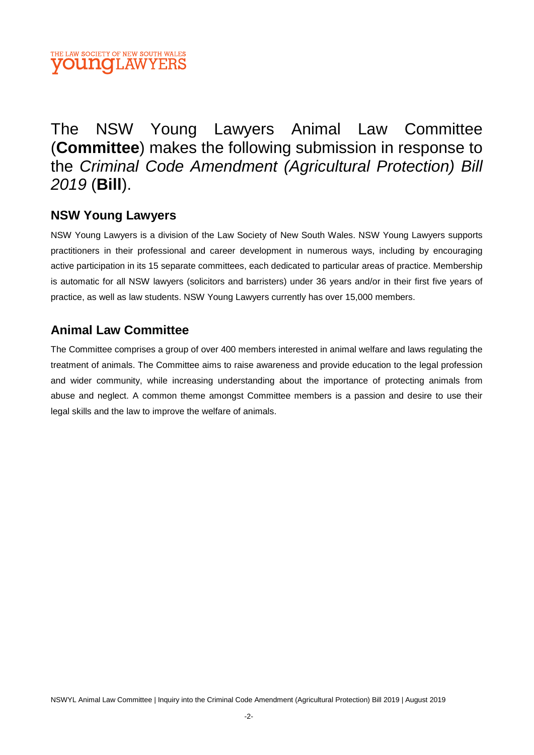## THE LAW SOCIETY OF NEW SOUTH WALES **OUNOLAWYERS**

# The NSW Young Lawyers Animal Law Committee (**Committee**) makes the following submission in response to the *Criminal Code Amendment (Agricultural Protection) Bill 2019* (**Bill**).

## **NSW Young Lawyers**

NSW Young Lawyers is a division of the Law Society of New South Wales. NSW Young Lawyers supports practitioners in their professional and career development in numerous ways, including by encouraging active participation in its 15 separate committees, each dedicated to particular areas of practice. Membership is automatic for all NSW lawyers (solicitors and barristers) under 36 years and/or in their first five years of practice, as well as law students. NSW Young Lawyers currently has over 15,000 members.

# **Animal Law Committee**

The Committee comprises a group of over 400 members interested in animal welfare and laws regulating the treatment of animals. The Committee aims to raise awareness and provide education to the legal profession and wider community, while increasing understanding about the importance of protecting animals from abuse and neglect. A common theme amongst Committee members is a passion and desire to use their legal skills and the law to improve the welfare of animals.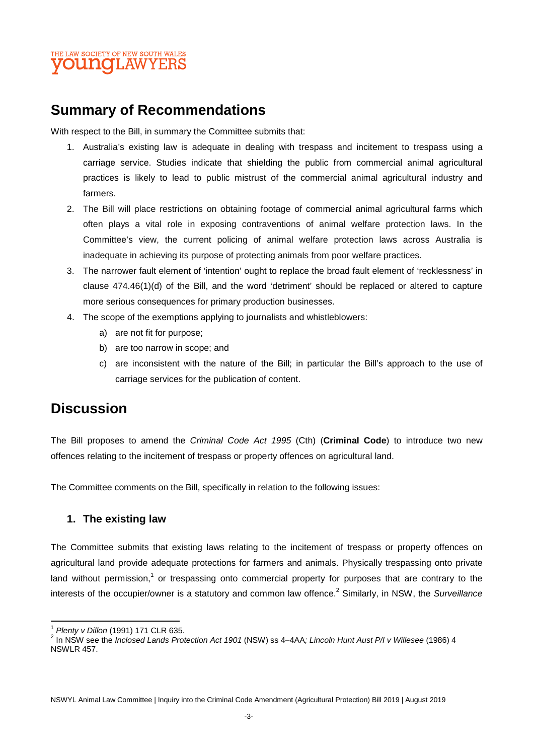

# **Summary of Recommendations**

With respect to the Bill, in summary the Committee submits that:

- 1. Australia's existing law is adequate in dealing with trespass and incitement to trespass using a carriage service. Studies indicate that shielding the public from commercial animal agricultural practices is likely to lead to public mistrust of the commercial animal agricultural industry and farmers.
- 2. The Bill will place restrictions on obtaining footage of commercial animal agricultural farms which often plays a vital role in exposing contraventions of animal welfare protection laws. In the Committee's view, the current policing of animal welfare protection laws across Australia is inadequate in achieving its purpose of protecting animals from poor welfare practices.
- 3. The narrower fault element of 'intention' ought to replace the broad fault element of 'recklessness' in clause 474.46(1)(d) of the Bill, and the word 'detriment' should be replaced or altered to capture more serious consequences for primary production businesses.
- 4. The scope of the exemptions applying to journalists and whistleblowers:
	- a) are not fit for purpose;
	- b) are too narrow in scope; and
	- c) are inconsistent with the nature of the Bill; in particular the Bill's approach to the use of carriage services for the publication of content.

# **Discussion**

The Bill proposes to amend the *Criminal Code Act 1995* (Cth) (**Criminal Code**) to introduce two new offences relating to the incitement of trespass or property offences on agricultural land.

The Committee comments on the Bill, specifically in relation to the following issues:

#### **1. The existing law**

The Committee submits that existing laws relating to the incitement of trespass or property offences on agricultural land provide adequate protections for farmers and animals. Physically trespassing onto private land without permission,<sup>1</sup> or trespassing onto commercial property for purposes that are contrary to the interests of the occupier/owner is a statutory and common law offence.<sup>2</sup> Similarly, in NSW, the *Surveillance* 

<sup>1</sup> *Plenty v Dillon* (1991) 171 CLR 635.

<sup>2</sup> In NSW see the *Inclosed Lands Protection Act 1901* (NSW) ss 4–4AA*; Lincoln Hunt Aust P/I v Willesee* (1986) 4 NSWLR 457.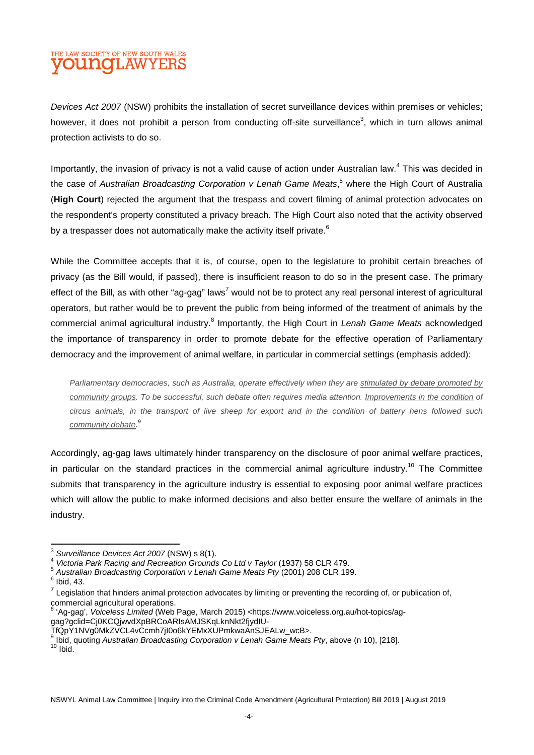## THE LAW SOCIETY OF NEW SOUTH WALES **DUNOLAW**

*Devices Act 2007* (NSW) prohibits the installation of secret surveillance devices within premises or vehicles; however, it does not prohibit a person from conducting off-site surveillance<sup>3</sup>, which in turn allows animal protection activists to do so.

Importantly, the invasion of privacy is not a valid cause of action under Australian law.<sup>4</sup> This was decided in the case of *Australian Broadcasting Corporation v Lenah Game Meats*, 5 where the High Court of Australia (**High Court**) rejected the argument that the trespass and covert filming of animal protection advocates on the respondent's property constituted a privacy breach. The High Court also noted that the activity observed by a trespasser does not automatically make the activity itself private.<sup>6</sup>

While the Committee accepts that it is, of course, open to the legislature to prohibit certain breaches of privacy (as the Bill would, if passed), there is insufficient reason to do so in the present case. The primary effect of the Bill, as with other "ag-gag" laws<sup>7</sup> would not be to protect any real personal interest of agricultural operators, but rather would be to prevent the public from being informed of the treatment of animals by the commercial animal agricultural industry.<sup>8</sup> Importantly, the High Court in *Lenah Game Meats* acknowledged the importance of transparency in order to promote debate for the effective operation of Parliamentary democracy and the improvement of animal welfare, in particular in commercial settings (emphasis added):

*Parliamentary democracies, such as Australia, operate effectively when they are stimulated by debate promoted by community groups. To be successful, such debate often requires media attention. Improvements in the condition of circus animals, in the transport of live sheep for export and in the condition of battery hens followed such community debate. 9*

Accordingly, ag-gag laws ultimately hinder transparency on the disclosure of poor animal welfare practices, in particular on the standard practices in the commercial animal agriculture industry.<sup>10</sup> The Committee submits that transparency in the agriculture industry is essential to exposing poor animal welfare practices which will allow the public to make informed decisions and also better ensure the welfare of animals in the industry.

- 5 *Australian Broadcasting Corporation v Lenah Game Meats Pty* (2001) 208 CLR 199.
- $<sup>6</sup>$  Ibid, 43.</sup>

 Ibid, quoting *Australian Broadcasting Corporation v Lenah Game Meats Pty*, above (n 10), [218].  $10$  Ibid.

NSWYL Animal Law Committee | Inquiry into the Criminal Code Amendment (Agricultural Protection) Bill 2019 | August 2019

<sup>3</sup> *Surveillance Devices Act 2007* (NSW) s 8(1).

<sup>4</sup> *Victoria Park Racing and Recreation Grounds Co Ltd v Taylor* (1937) 58 CLR 479.

 $<sup>7</sup>$  Legislation that hinders animal protection advocates by limiting or preventing the recording of, or publication of,</sup> commercial agricultural operations.

<sup>&</sup>lt;sup>8</sup> 'Ag-gag', *Voiceless Limited* (Web Page, March 2015) <https://www.voiceless.org.au/hot-topics/aggag?gclid=Cj0KCQjwvdXpBRCoARIsAMJSKqLknNkt2fjydIU-

TfQpY1NVg0MkZVCL4vCcmh7jI0o6kYEMxXUPmkwaAnSJEALw\_wcB>. 9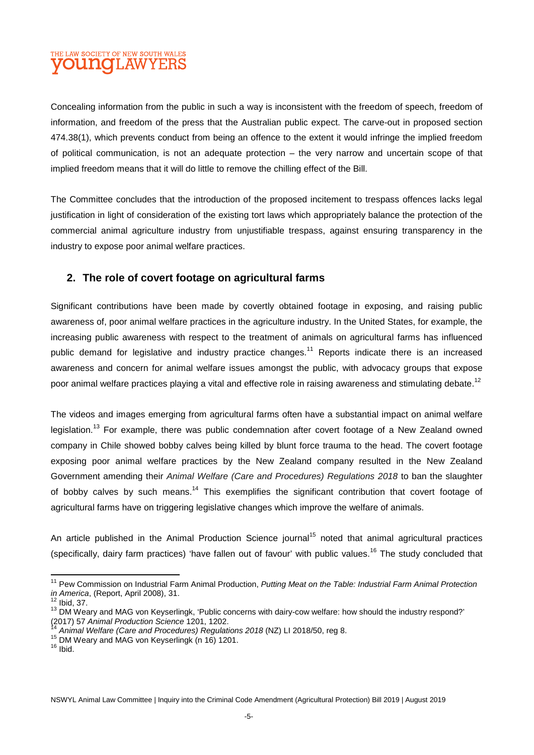## THE LAW SOCIETY OF NEW SOUTH WALES **OUNCLAWYERS**

Concealing information from the public in such a way is inconsistent with the freedom of speech, freedom of information, and freedom of the press that the Australian public expect. The carve-out in proposed section 474.38(1), which prevents conduct from being an offence to the extent it would infringe the implied freedom of political communication, is not an adequate protection – the very narrow and uncertain scope of that implied freedom means that it will do little to remove the chilling effect of the Bill.

The Committee concludes that the introduction of the proposed incitement to trespass offences lacks legal justification in light of consideration of the existing tort laws which appropriately balance the protection of the commercial animal agriculture industry from unjustifiable trespass, against ensuring transparency in the industry to expose poor animal welfare practices.

#### **2. The role of covert footage on agricultural farms**

Significant contributions have been made by covertly obtained footage in exposing, and raising public awareness of, poor animal welfare practices in the agriculture industry. In the United States, for example, the increasing public awareness with respect to the treatment of animals on agricultural farms has influenced public demand for legislative and industry practice changes.<sup>11</sup> Reports indicate there is an increased awareness and concern for animal welfare issues amongst the public, with advocacy groups that expose poor animal welfare practices playing a vital and effective role in raising awareness and stimulating debate.<sup>12</sup>

The videos and images emerging from agricultural farms often have a substantial impact on animal welfare legislation.<sup>13</sup> For example, there was public condemnation after covert footage of a New Zealand owned company in Chile showed bobby calves being killed by blunt force trauma to the head. The covert footage exposing poor animal welfare practices by the New Zealand company resulted in the New Zealand Government amending their *Animal Welfare (Care and Procedures) Regulations 2018* to ban the slaughter of bobby calves by such means.<sup>14</sup> This exemplifies the significant contribution that covert footage of agricultural farms have on triggering legislative changes which improve the welfare of animals.

An article published in the Animal Production Science journal<sup>15</sup> noted that animal agricultural practices (specifically, dairy farm practices) 'have fallen out of favour' with public values.<sup>16</sup> The study concluded that

NSWYL Animal Law Committee | Inquiry into the Criminal Code Amendment (Agricultural Protection) Bill 2019 | August 2019

<sup>11</sup> Pew Commission on Industrial Farm Animal Production, *Putting Meat on the Table: Industrial Farm Animal Protection in America*, (Report, April 2008), 31.

 $12$  Ibid, 37.

<sup>&</sup>lt;sup>13</sup> DM Weary and MAG von Keyserlingk, 'Public concerns with dairy-cow welfare: how should the industry respond?' (2017) 57 *Animal Production Science* 1201, 1202.

<sup>14</sup> *Animal Welfare (Care and Procedures) Regulations 2018* (NZ) LI 2018/50, reg 8.

<sup>15</sup> DM Weary and MAG von Keyserlingk (n 16) 1201.

 $16$  Ibid.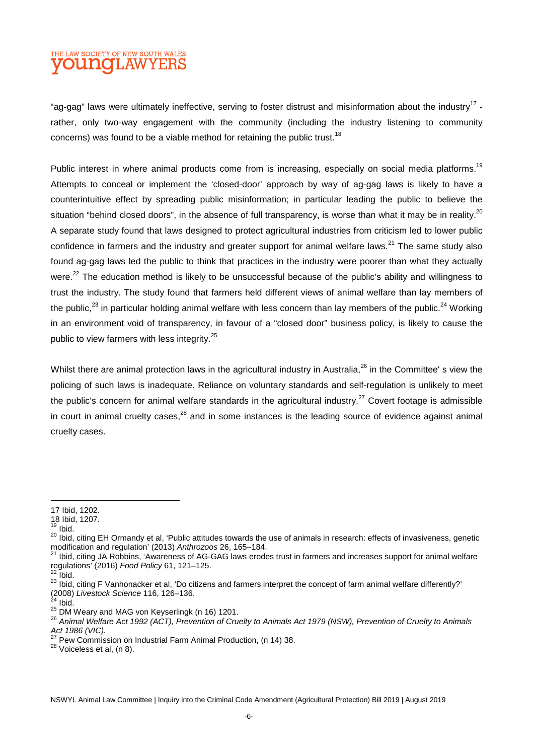### THE LAW SOCIETY OF NEW SOUTH WALES **DUNGLAW**

"ag-gag" laws were ultimately ineffective, serving to foster distrust and misinformation about the industry<sup>17</sup> rather, only two-way engagement with the community (including the industry listening to community concerns) was found to be a viable method for retaining the public trust.<sup>18</sup>

Public interest in where animal products come from is increasing, especially on social media platforms.<sup>19</sup> Attempts to conceal or implement the 'closed-door' approach by way of ag-gag laws is likely to have a counterintuitive effect by spreading public misinformation; in particular leading the public to believe the situation "behind closed doors", in the absence of full transparency, is worse than what it may be in reality. $^{20}$ A separate study found that laws designed to protect agricultural industries from criticism led to lower public confidence in farmers and the industry and greater support for animal welfare laws.<sup>21</sup> The same study also found ag-gag laws led the public to think that practices in the industry were poorer than what they actually were.<sup>22</sup> The education method is likely to be unsuccessful because of the public's ability and willingness to trust the industry. The study found that farmers held different views of animal welfare than lay members of the public, $^{23}$  in particular holding animal welfare with less concern than lay members of the public.<sup>24</sup> Working in an environment void of transparency, in favour of a "closed door" business policy, is likely to cause the public to view farmers with less integrity.<sup>25</sup>

Whilst there are animal protection laws in the agricultural industry in Australia,<sup>26</sup> in the Committee' s view the policing of such laws is inadequate. Reliance on voluntary standards and self-regulation is unlikely to meet the public's concern for animal welfare standards in the agricultural industry.<sup>27</sup> Covert footage is admissible in court in animal cruelty cases, $28$  and in some instances is the leading source of evidence against animal cruelty cases.

Ibid.

<sup>17</sup> Ibid, 1202.  $18$  Ibid, 1207.

 $19$  Ibid.

<sup>&</sup>lt;sup>20</sup> Ibid, citing EH Ormandy et al, 'Public attitudes towards the use of animals in research: effects of invasiveness, genetic modification and regulation' (2013) *Anthrozoos* 26, 165–184.

<sup>&</sup>lt;sup>21</sup> Ibid, citing JA Robbins, 'Awareness of AG-GAG laws erodes trust in farmers and increases support for animal welfare regulations' (2016) *Food Policy* 61, 121–125.

<sup>23</sup> Ibid, citing F Vanhonacker et al, 'Do citizens and farmers interpret the concept of farm animal welfare differently?' (2008) *Livestock Science* 116, 126–136.

Ibid.

 $25$  DM Weary and MAG von Keyserlingk (n 16) 1201.

<sup>26</sup> *Animal Welfare Act 1992 (ACT), Prevention of Cruelty to Animals Act 1979 (NSW), Prevention of Cruelty to Animals Act 1986 (VIC).*

 $27$  Pew Commission on Industrial Farm Animal Production, (n 14) 38.

<sup>28</sup> Voiceless et al, (n 8).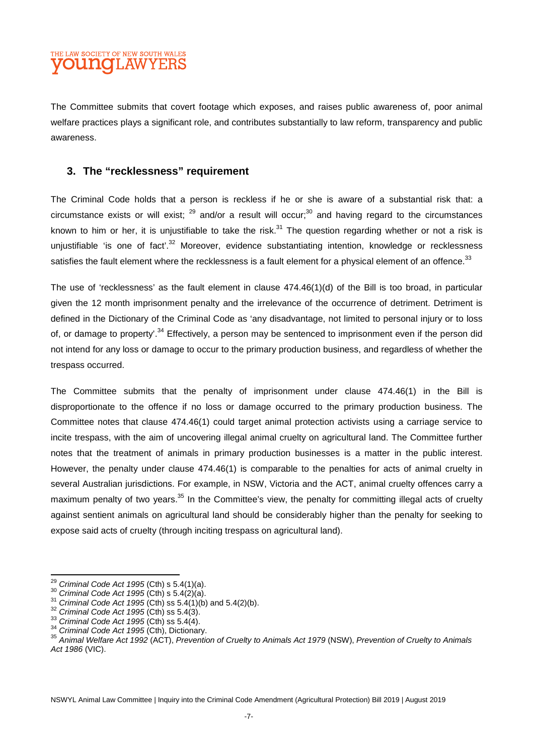#### THE LAW SOCIETY OF NEW SOUTH WALES **DUNCILAW**

The Committee submits that covert footage which exposes, and raises public awareness of, poor animal welfare practices plays a significant role, and contributes substantially to law reform, transparency and public awareness.

#### **3. The "recklessness" requirement**

The Criminal Code holds that a person is reckless if he or she is aware of a substantial risk that: a circumstance exists or will exist;  $^{29}$  and/or a result will occur;<sup>30</sup> and having regard to the circumstances known to him or her, it is unjustifiable to take the risk. $31$  The question regarding whether or not a risk is unjustifiable 'is one of fact'.<sup>32</sup> Moreover, evidence substantiating intention, knowledge or recklessness satisfies the fault element where the recklessness is a fault element for a physical element of an offence.<sup>33</sup>

The use of 'recklessness' as the fault element in clause  $474.46(1)(d)$  of the Bill is too broad, in particular given the 12 month imprisonment penalty and the irrelevance of the occurrence of detriment. Detriment is defined in the Dictionary of the Criminal Code as 'any disadvantage, not limited to personal injury or to loss of, or damage to property'.<sup>34</sup> Effectively, a person may be sentenced to imprisonment even if the person did not intend for any loss or damage to occur to the primary production business, and regardless of whether the trespass occurred.

The Committee submits that the penalty of imprisonment under clause 474.46(1) in the Bill is disproportionate to the offence if no loss or damage occurred to the primary production business. The Committee notes that clause 474.46(1) could target animal protection activists using a carriage service to incite trespass, with the aim of uncovering illegal animal cruelty on agricultural land. The Committee further notes that the treatment of animals in primary production businesses is a matter in the public interest. However, the penalty under clause 474.46(1) is comparable to the penalties for acts of animal cruelty in several Australian jurisdictions. For example, in NSW, Victoria and the ACT, animal cruelty offences carry a maximum penalty of two years.<sup>35</sup> In the Committee's view, the penalty for committing illegal acts of cruelty against sentient animals on agricultural land should be considerably higher than the penalty for seeking to expose said acts of cruelty (through inciting trespass on agricultural land).

<sup>29</sup> *Criminal Code Act 1995* (Cth) s 5.4(1)(a).

<sup>30</sup> *Criminal Code Act 1995* (Cth) s 5.4(2)(a).

<sup>31</sup> *Criminal Code Act 1995* (Cth) ss 5.4(1)(b) and 5.4(2)(b).

<sup>32</sup> *Criminal Code Act 1995* (Cth) ss 5.4(3).

<sup>33</sup> *Criminal Code Act 1995* (Cth) ss 5.4(4).

<sup>34</sup> *Criminal Code Act 1995* (Cth), Dictionary.

<sup>35</sup> *Animal Welfare Act 1992* (ACT), *Prevention of Cruelty to Animals Act 1979* (NSW), *Prevention of Cruelty to Animals Act 1986* (VIC).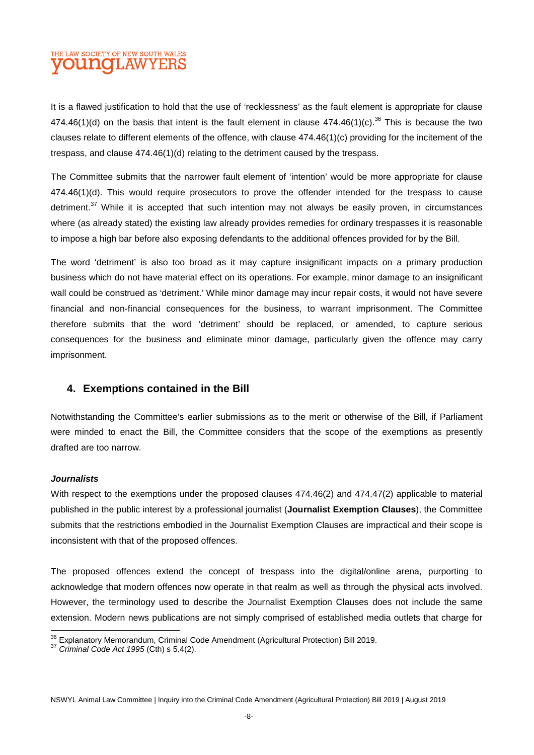## THE LAW SOCIETY OF NEW SOUTH WALES **OUNG**LAWYERS

It is a flawed justification to hold that the use of 'recklessness' as the fault element is appropriate for clause 474.46(1)(d) on the basis that intent is the fault element in clause  $474.46(1)(c)$ .<sup>36</sup> This is because the two clauses relate to different elements of the offence, with clause  $474.46(1)(c)$  providing for the incitement of the trespass, and clause 474.46(1)(d) relating to the detriment caused by the trespass.

The Committee submits that the narrower fault element of 'intention' would be more appropriate for clause 474.46(1)(d). This would require prosecutors to prove the offender intended for the trespass to cause detriment.<sup>37</sup> While it is accepted that such intention may not always be easily proven, in circumstances where (as already stated) the existing law already provides remedies for ordinary trespasses it is reasonable to impose a high bar before also exposing defendants to the additional offences provided for by the Bill.

The word 'detriment' is also too broad as it may capture insignificant impacts on a primary production business which do not have material effect on its operations. For example, minor damage to an insignificant wall could be construed as 'detriment.' While minor damage may incur repair costs, it would not have severe financial and non-financial consequences for the business, to warrant imprisonment. The Committee therefore submits that the word 'detriment' should be replaced, or amended, to capture serious consequences for the business and eliminate minor damage, particularly given the offence may carry imprisonment.

#### **4. Exemptions contained in the Bill**

Notwithstanding the Committee's earlier submissions as to the merit or otherwise of the Bill, if Parliament were minded to enact the Bill, the Committee considers that the scope of the exemptions as presently drafted are too narrow.

#### *Journalists*

With respect to the exemptions under the proposed clauses 474.46(2) and 474.47(2) applicable to material published in the public interest by a professional journalist (**Journalist Exemption Clauses**), the Committee submits that the restrictions embodied in the Journalist Exemption Clauses are impractical and their scope is inconsistent with that of the proposed offences.

The proposed offences extend the concept of trespass into the digital/online arena, purporting to acknowledge that modern offences now operate in that realm as well as through the physical acts involved. However, the terminology used to describe the Journalist Exemption Clauses does not include the same extension. Modern news publications are not simply comprised of established media outlets that charge for

<sup>&</sup>lt;sup>36</sup> Explanatory Memorandum, Criminal Code Amendment (Agricultural Protection) Bill 2019.

<sup>37</sup> *Criminal Code Act 1995* (Cth) s 5.4(2).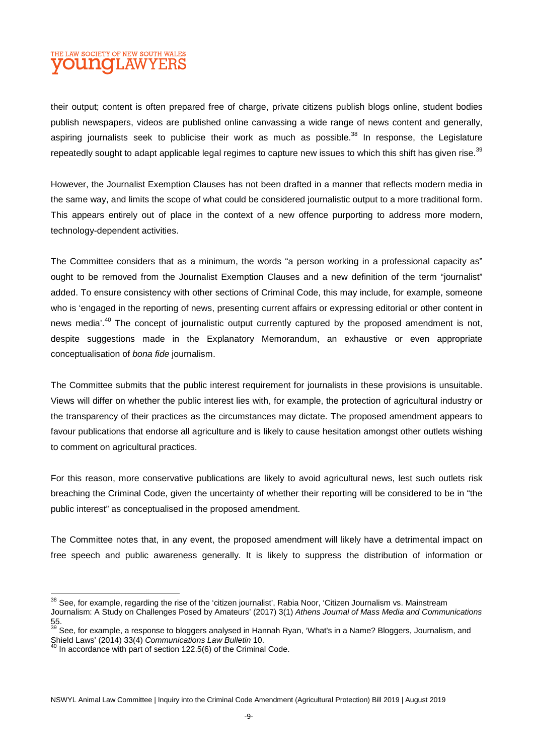#### THE LAW SOCIETY OF NEW SOUTH WALES **OUINOT AW**

their output; content is often prepared free of charge, private citizens publish blogs online, student bodies publish newspapers, videos are published online canvassing a wide range of news content and generally, aspiring journalists seek to publicise their work as much as possible.<sup>38</sup> In response, the Legislature repeatedly sought to adapt applicable legal regimes to capture new issues to which this shift has given rise.<sup>39</sup>

However, the Journalist Exemption Clauses has not been drafted in a manner that reflects modern media in the same way, and limits the scope of what could be considered journalistic output to a more traditional form. This appears entirely out of place in the context of a new offence purporting to address more modern, technology-dependent activities.

The Committee considers that as a minimum, the words "a person working in a professional capacity as" ought to be removed from the Journalist Exemption Clauses and a new definition of the term "journalist" added. To ensure consistency with other sections of Criminal Code, this may include, for example, someone who is 'engaged in the reporting of news, presenting current affairs or expressing editorial or other content in news media<sup>', 40</sup> The concept of journalistic output currently captured by the proposed amendment is not, despite suggestions made in the Explanatory Memorandum, an exhaustive or even appropriate conceptualisation of *bona fide* journalism.

The Committee submits that the public interest requirement for journalists in these provisions is unsuitable. Views will differ on whether the public interest lies with, for example, the protection of agricultural industry or the transparency of their practices as the circumstances may dictate. The proposed amendment appears to favour publications that endorse all agriculture and is likely to cause hesitation amongst other outlets wishing to comment on agricultural practices.

For this reason, more conservative publications are likely to avoid agricultural news, lest such outlets risk breaching the Criminal Code, given the uncertainty of whether their reporting will be considered to be in "the public interest" as conceptualised in the proposed amendment.

The Committee notes that, in any event, the proposed amendment will likely have a detrimental impact on free speech and public awareness generally. It is likely to suppress the distribution of information or

<sup>&</sup>lt;sup>38</sup> See, for example, regarding the rise of the 'citizen journalist', Rabia Noor, 'Citizen Journalism vs. Mainstream Journalism: A Study on Challenges Posed by Amateurs' (2017) 3(1) *Athens Journal of Mass Media and Communications*  $\frac{55}{39}$ .

See, for example, a response to bloggers analysed in Hannah Ryan, 'What's in a Name? Bloggers, Journalism, and Shield Laws' (2014) 33(4) *Communications Law Bulletin* 10.

 $40$  In accordance with part of section 122.5(6) of the Criminal Code.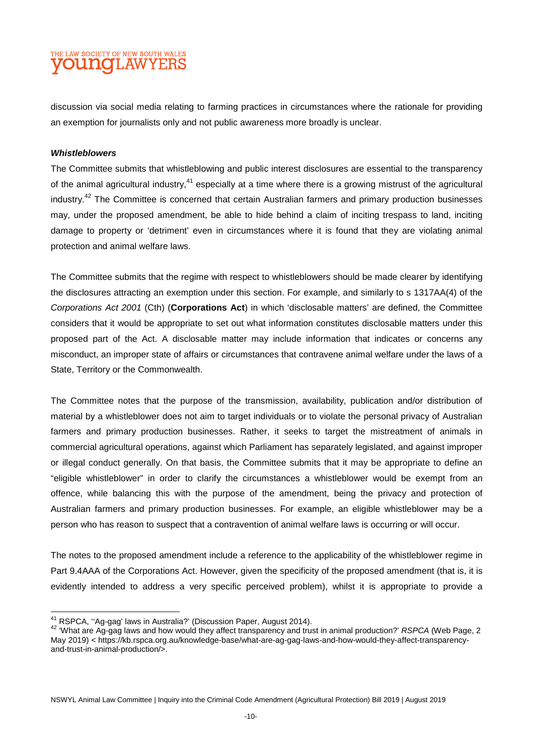#### THE LAW SOCIETY OF NEW SOUTH WALES **OUNCLAWYERS**

discussion via social media relating to farming practices in circumstances where the rationale for providing an exemption for journalists only and not public awareness more broadly is unclear.

#### *Whistleblowers*

The Committee submits that whistleblowing and public interest disclosures are essential to the transparency of the animal agricultural industry,<sup>41</sup> especially at a time where there is a growing mistrust of the agricultural industry.<sup>42</sup> The Committee is concerned that certain Australian farmers and primary production businesses may, under the proposed amendment, be able to hide behind a claim of inciting trespass to land, inciting damage to property or 'detriment' even in circumstances where it is found that they are violating animal protection and animal welfare laws.

The Committee submits that the regime with respect to whistleblowers should be made clearer by identifying the disclosures attracting an exemption under this section. For example, and similarly to s 1317AA(4) of the *Corporations Act 2001* (Cth) (**Corporations Act**) in which 'disclosable matters' are defined, the Committee considers that it would be appropriate to set out what information constitutes disclosable matters under this proposed part of the Act. A disclosable matter may include information that indicates or concerns any misconduct, an improper state of affairs or circumstances that contravene animal welfare under the laws of a State, Territory or the Commonwealth.

The Committee notes that the purpose of the transmission, availability, publication and/or distribution of material by a whistleblower does not aim to target individuals or to violate the personal privacy of Australian farmers and primary production businesses. Rather, it seeks to target the mistreatment of animals in commercial agricultural operations, against which Parliament has separately legislated, and against improper or illegal conduct generally. On that basis, the Committee submits that it may be appropriate to define an "eligible whistleblower" in order to clarify the circumstances a whistleblower would be exempt from an offence, while balancing this with the purpose of the amendment, being the privacy and protection of Australian farmers and primary production businesses. For example, an eligible whistleblower may be a person who has reason to suspect that a contravention of animal welfare laws is occurring or will occur.

The notes to the proposed amendment include a reference to the applicability of the whistleblower regime in Part 9.4AAA of the Corporations Act. However, given the specificity of the proposed amendment (that is, it is evidently intended to address a very specific perceived problem), whilst it is appropriate to provide a

<sup>&</sup>lt;sup>41</sup> RSPCA, "Aq-qag' laws in Australia?' (Discussion Paper, August 2014).

<sup>42</sup> 'What are Ag-gag laws and how would they affect transparency and trust in animal production?' *RSPCA* (Web Page, 2 May 2019) < https://kb.rspca.org.au/knowledge-base/what-are-ag-gag-laws-and-how-would-they-affect-transparencyand-trust-in-animal-production/>.